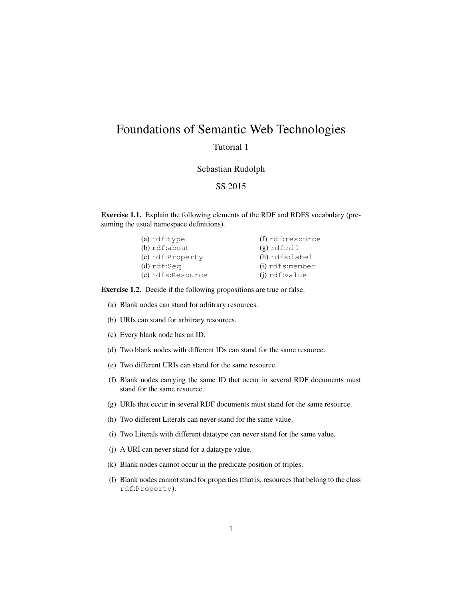## Foundations of Semantic Web Technologies

## Tutorial 1

## Sebastian Rudolph

## SS 2015

Exercise 1.1. Explain the following elements of the RDF and RDFS vocabulary (presuming the usual namespace definitions).

| $(a)$ rdf:type       | $(f)$ rdf:resource |
|----------------------|--------------------|
| $(b)$ rdf:about      | $(g)$ rdf:nil      |
| $(c)$ rdf:Property   | $(h)$ rdfs:label   |
| $(d)$ rdf:Seq        | $(i)$ rdfs: member |
| $(e)$ rdfs: Resource | $(i)$ rdf:value    |

Exercise 1.2. Decide if the following propositions are true or false:

- (a) Blank nodes can stand for arbitrary resources.
- (b) URIs can stand for arbitrary resources.
- (c) Every blank node has an ID.
- (d) Two blank nodes with different IDs can stand for the same resource.
- (e) Two different URIs can stand for the same resource.
- (f) Blank nodes carrying the same ID that occur in several RDF documents must stand for the same resource.
- (g) URIs that occur in several RDF documents must stand for the same resource.
- (h) Two different Literals can never stand for the same value.
- (i) Two Literals with different datatype can never stand for the same value.
- (j) A URI can never stand for a datatype value.
- (k) Blank nodes cannot occur in the predicate position of triples.
- (l) Blank nodes cannot stand for properties (that is, resources that belong to the class rdf:Property).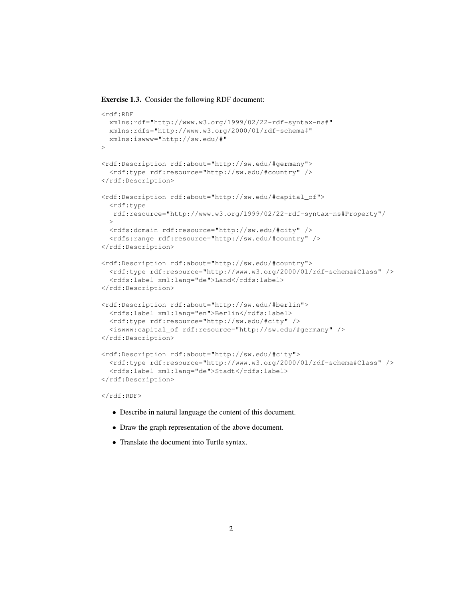Exercise 1.3. Consider the following RDF document:

```
<rdf:RDF
 xmlns:rdf="http://www.w3.org/1999/02/22-rdf-syntax-ns#"
 xmlns:rdfs="http://www.w3.org/2000/01/rdf-schema#"
 xmlns:iswww="http://sw.edu/#"
>
<rdf:Description rdf:about="http://sw.edu/#germany">
  <rdf:type rdf:resource="http://sw.edu/#country" />
</rdf:Description>
<rdf:Description rdf:about="http://sw.edu/#capital_of">
  <rdf:type
  rdf:resource="http://www.w3.org/1999/02/22-rdf-syntax-ns#Property"/
 >
  <rdfs:domain rdf:resource="http://sw.edu/#city" />
  <rdfs:range rdf:resource="http://sw.edu/#country" />
</rdf:Description>
<rdf:Description rdf:about="http://sw.edu/#country">
  <rdf:type rdf:resource="http://www.w3.org/2000/01/rdf-schema#Class" />
  <rdfs:label xml:lang="de">Land</rdfs:label>
</rdf:Description>
<rdf:Description rdf:about="http://sw.edu/#berlin">
  <rdfs:label xml:lang="en">Berlin</rdfs:label>
 <rdf:type rdf:resource="http://sw.edu/#city" />
  <iswww:capital_of rdf:resource="http://sw.edu/#germany" />
</rdf:Description>
<rdf:Description rdf:about="http://sw.edu/#city">
  <rdf:type rdf:resource="http://www.w3.org/2000/01/rdf-schema#Class" />
  <rdfs:label xml:lang="de">Stadt</rdfs:label>
</rdf:Description>
\langle/rdf:RDF>
```
- Describe in natural language the content of this document.
- Draw the graph representation of the above document.
- Translate the document into Turtle syntax.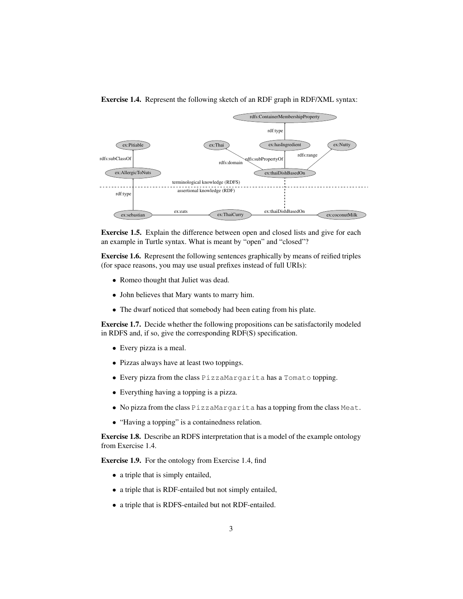

Exercise 1.4. Represent the following sketch of an RDF graph in RDF/XML syntax:



Exercise 1.6. Represent the following sentences graphically by means of reified triples (for space reasons, you may use usual prefixes instead of full URIs):

- Romeo thought that Juliet was dead.
- John believes that Mary wants to marry him.
- The dwarf noticed that somebody had been eating from his plate.

Exercise 1.7. Decide whether the following propositions can be satisfactorily modeled in RDFS and, if so, give the corresponding RDF(S) specification.

- Every pizza is a meal.
- Pizzas always have at least two toppings.
- Every pizza from the class PizzaMargarita has a Tomato topping.
- Everything having a topping is a pizza.
- No pizza from the class PizzaMargarita has a topping from the class Meat.
- "Having a topping" is a containedness relation.

Exercise 1.8. Describe an RDFS interpretation that is a model of the example ontology from Exercise 1.4.

Exercise 1.9. For the ontology from Exercise 1.4, find

- a triple that is simply entailed,
- a triple that is RDF-entailed but not simply entailed,
- a triple that is RDFS-entailed but not RDF-entailed.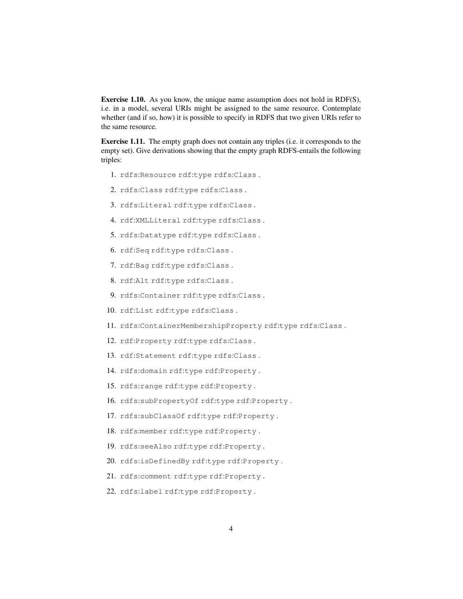Exercise 1.10. As you know, the unique name assumption does not hold in RDF(S), i.e. in a model, several URIs might be assigned to the same resource. Contemplate whether (and if so, how) it is possible to specify in RDFS that two given URIs refer to the same resource.

Exercise 1.11. The empty graph does not contain any triples (i.e. it corresponds to the empty set). Give derivations showing that the empty graph RDFS-entails the following triples:

- 1. rdfs:Resource rdf:type rdfs:Class .
- 2. rdfs:Class rdf:type rdfs:Class .
- 3. rdfs:Literal rdf:type rdfs:Class .
- 4. rdf:XMLLiteral rdf:type rdfs:Class .
- 5. rdfs:Datatype rdf:type rdfs:Class .
- 6. rdf:Seq rdf:type rdfs:Class .
- 7. rdf:Bag rdf:type rdfs:Class .
- 8. rdf:Alt rdf:type rdfs:Class .
- 9. rdfs:Container rdf:type rdfs:Class .
- 10. rdf:List rdf:type rdfs:Class .
- 11. rdfs:ContainerMembershipProperty rdf:type rdfs:Class .
- 12. rdf:Property rdf:type rdfs:Class .
- 13. rdf:Statement rdf:type rdfs:Class .
- 14. rdfs:domain rdf:type rdf:Property .
- 15. rdfs:range rdf:type rdf:Property .
- 16. rdfs:subPropertyOf rdf:type rdf:Property .
- 17. rdfs:subClassOf rdf:type rdf:Property .
- 18. rdfs:member rdf:type rdf:Property .
- 19. rdfs:seeAlso rdf:type rdf:Property .
- 20. rdfs:isDefinedBy rdf:type rdf:Property .
- 21. rdfs:comment rdf:type rdf:Property .
- 22. rdfs:label rdf:type rdf:Property .